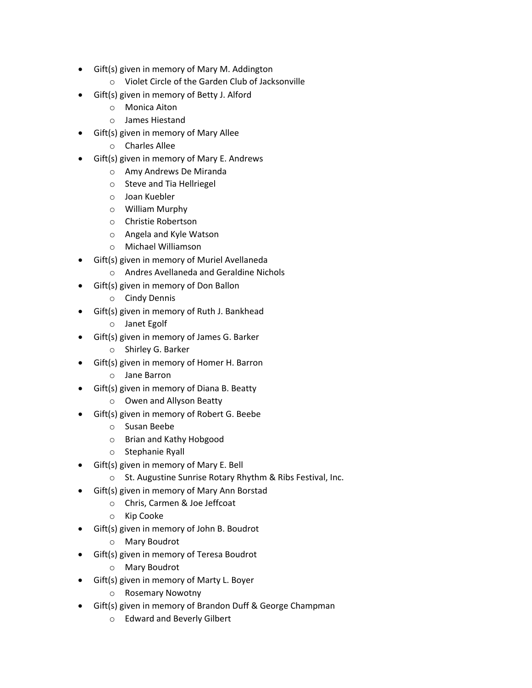- Gift(s) given in memory of Mary M. Addington
	- o Violet Circle of the Garden Club of Jacksonville
- Gift(s) given in memory of Betty J. Alford
	- o Monica Aiton
	- o James Hiestand
- Gift(s) given in memory of Mary Allee
	- o Charles Allee
- Gift(s) given in memory of Mary E. Andrews
	- o Amy Andrews De Miranda
	- o Steve and Tia Hellriegel
	- o Joan Kuebler
	- o William Murphy
	- o Christie Robertson
	- o Angela and Kyle Watson
	- o Michael Williamson
- Gift(s) given in memory of Muriel Avellaneda
	- o Andres Avellaneda and Geraldine Nichols
	- Gift(s) given in memory of Don Ballon
		- o Cindy Dennis
- Gift(s) given in memory of Ruth J. Bankhead
	- o Janet Egolf
- Gift(s) given in memory of James G. Barker
	- o Shirley G. Barker
- Gift(s) given in memory of Homer H. Barron
	- o Jane Barron
- Gift(s) given in memory of Diana B. Beatty
	- o Owen and Allyson Beatty
- Gift(s) given in memory of Robert G. Beebe
	- o Susan Beebe
	- o Brian and Kathy Hobgood
	- o Stephanie Ryall
- Gift(s) given in memory of Mary E. Bell
	- o St. Augustine Sunrise Rotary Rhythm & Ribs Festival, Inc.
- Gift(s) given in memory of Mary Ann Borstad
	- o Chris, Carmen & Joe Jeffcoat
	- o Kip Cooke
- Gift(s) given in memory of John B. Boudrot
	- o Mary Boudrot
- Gift(s) given in memory of Teresa Boudrot
	- o Mary Boudrot
- Gift(s) given in memory of Marty L. Boyer
	- o Rosemary Nowotny
- Gift(s) given in memory of Brandon Duff & George Champman
	- o Edward and Beverly Gilbert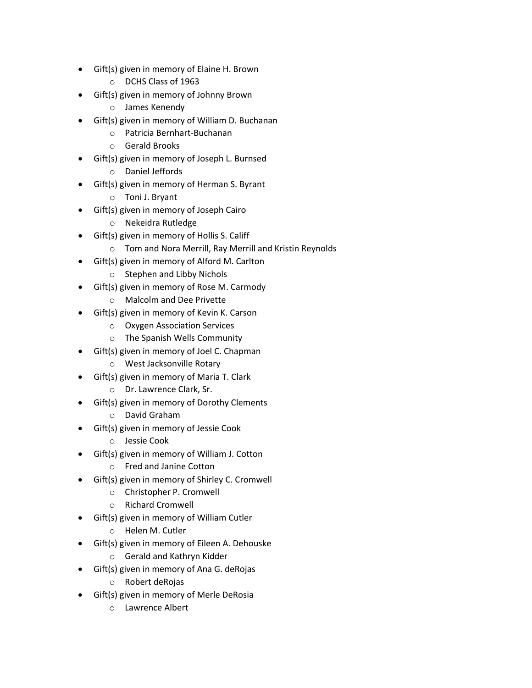- Gift(s) given in memory of Elaine H. Brown
	- o DCHS Class of 1963
- Gift(s) given in memory of Johnny Brown
	- o James Kenendy
- Gift(s) given in memory of William D. Buchanan
	- o Patricia Bernhart-Buchanan
	- o Gerald Brooks
- Gift(s) given in memory of Joseph L. Burnsed
	- o Daniel Jeffords
- Gift(s) given in memory of Herman S. Byrant
	- o Toni J. Bryant
- Gift(s) given in memory of Joseph Cairo
	- o Nekeidra Rutledge
- Gift(s) given in memory of Hollis S. Califf
	- o Tom and Nora Merrill, Ray Merrill and Kristin Reynolds
- Gift(s) given in memory of Alford M. Carlton
	- o Stephen and Libby Nichols
- Gift(s) given in memory of Rose M. Carmody
	- o Malcolm and Dee Privette
- Gift(s) given in memory of Kevin K. Carson
	- o Oxygen Association Services
	- o The Spanish Wells Community
- Gift(s) given in memory of Joel C. Chapman
	- o West Jacksonville Rotary
- Gift(s) given in memory of Maria T. Clark
	- o Dr. Lawrence Clark, Sr.
- Gift(s) given in memory of Dorothy Clements
	- o David Graham
- Gift(s) given in memory of Jessie Cook
	- o Jessie Cook
- Gift(s) given in memory of William J. Cotton
	- o Fred and Janine Cotton
- Gift(s) given in memory of Shirley C. Cromwell
	- o Christopher P. Cromwell
	- o Richard Cromwell
- Gift(s) given in memory of William Cutler
	- o Helen M. Cutler
	- Gift(s) given in memory of Eileen A. Dehouske
		- o Gerald and Kathryn Kidder
- Gift(s) given in memory of Ana G. deRojas
	- o Robert deRojas
- Gift(s) given in memory of Merle DeRosia
	- o Lawrence Albert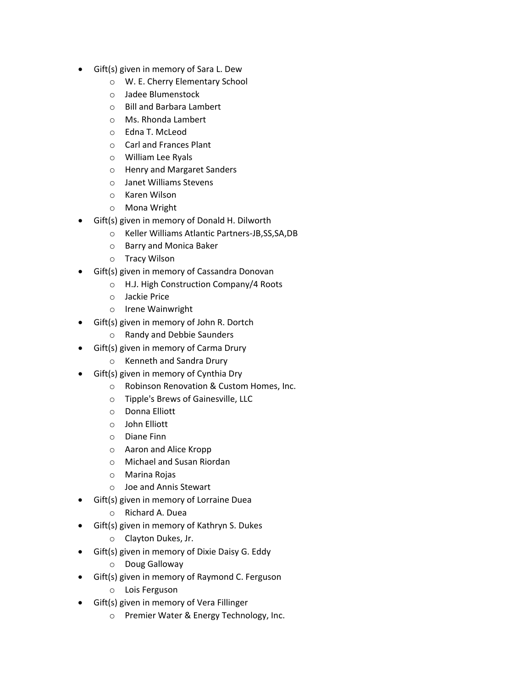- Gift(s) given in memory of Sara L. Dew
	- o W. E. Cherry Elementary School
	- o Jadee Blumenstock
	- o Bill and Barbara Lambert
	- o Ms. Rhonda Lambert
	- o Edna T. McLeod
	- o Carl and Frances Plant
	- o William Lee Ryals
	- o Henry and Margaret Sanders
	- o Janet Williams Stevens
	- o Karen Wilson
	- o Mona Wright
- Gift(s) given in memory of Donald H. Dilworth
	- o Keller Williams Atlantic Partners-JB,SS,SA,DB
	- o Barry and Monica Baker
	- o Tracy Wilson
- Gift(s) given in memory of Cassandra Donovan
	- o H.J. High Construction Company/4 Roots
	- o Jackie Price
	- o Irene Wainwright
- Gift(s) given in memory of John R. Dortch
	- o Randy and Debbie Saunders
- Gift(s) given in memory of Carma Drury
	- o Kenneth and Sandra Drury
- Gift(s) given in memory of Cynthia Dry
	- o Robinson Renovation & Custom Homes, Inc.
	- o Tipple's Brews of Gainesville, LLC
	- o Donna Elliott
	- o John Elliott
	- o Diane Finn
	- o Aaron and Alice Kropp
	- o Michael and Susan Riordan
	- o Marina Rojas
	- o Joe and Annis Stewart
- Gift(s) given in memory of Lorraine Duea
	- o Richard A. Duea
- Gift(s) given in memory of Kathryn S. Dukes
	- o Clayton Dukes, Jr.
- Gift(s) given in memory of Dixie Daisy G. Eddy
	- o Doug Galloway
- Gift(s) given in memory of Raymond C. Ferguson
	- o Lois Ferguson
- Gift(s) given in memory of Vera Fillinger
	- o Premier Water & Energy Technology, Inc.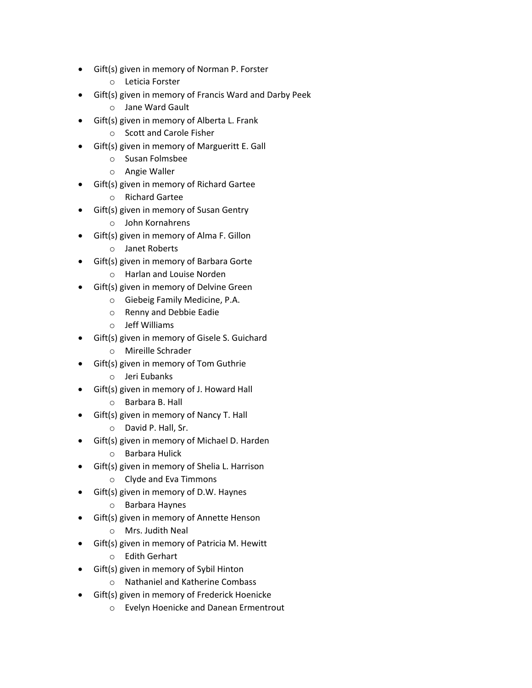- Gift(s) given in memory of Norman P. Forster
	- o Leticia Forster
- Gift(s) given in memory of Francis Ward and Darby Peek
	- o Jane Ward Gault
- Gift(s) given in memory of Alberta L. Frank
	- o Scott and Carole Fisher
- Gift(s) given in memory of Margueritt E. Gall
	- o Susan Folmsbee
	- o Angie Waller
- Gift(s) given in memory of Richard Gartee
	- o Richard Gartee
- Gift(s) given in memory of Susan Gentry
	- o John Kornahrens
- Gift(s) given in memory of Alma F. Gillon
	- o Janet Roberts
- Gift(s) given in memory of Barbara Gorte
	- o Harlan and Louise Norden
- Gift(s) given in memory of Delvine Green
	- o Giebeig Family Medicine, P.A.
	- o Renny and Debbie Eadie
	- o Jeff Williams
- Gift(s) given in memory of Gisele S. Guichard
	- o Mireille Schrader
- Gift(s) given in memory of Tom Guthrie
	- o Jeri Eubanks
- Gift(s) given in memory of J. Howard Hall
	- o Barbara B. Hall
- Gift(s) given in memory of Nancy T. Hall
	- o David P. Hall, Sr.
- Gift(s) given in memory of Michael D. Harden
	- o Barbara Hulick
- Gift(s) given in memory of Shelia L. Harrison
	- o Clyde and Eva Timmons
- Gift(s) given in memory of D.W. Haynes
	- o Barbara Haynes
- Gift(s) given in memory of Annette Henson
	- o Mrs. Judith Neal
- Gift(s) given in memory of Patricia M. Hewitt
	- o Edith Gerhart
- Gift(s) given in memory of Sybil Hinton
	- o Nathaniel and Katherine Combass
- Gift(s) given in memory of Frederick Hoenicke
	- o Evelyn Hoenicke and Danean Ermentrout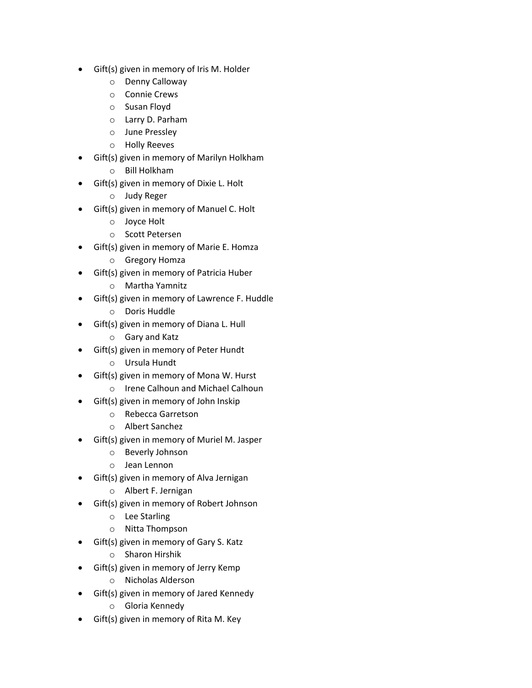- Gift(s) given in memory of Iris M. Holder
	- o Denny Calloway
	- o Connie Crews
	- o Susan Floyd
	- o Larry D. Parham
	- o June Pressley
	- o Holly Reeves
- Gift(s) given in memory of Marilyn Holkham
	- o Bill Holkham
- Gift(s) given in memory of Dixie L. Holt
	- o Judy Reger
- Gift(s) given in memory of Manuel C. Holt
	- o Joyce Holt
	- o Scott Petersen
- Gift(s) given in memory of Marie E. Homza
	- o Gregory Homza
- Gift(s) given in memory of Patricia Huber
	- o Martha Yamnitz
- Gift(s) given in memory of Lawrence F. Huddle
	- o Doris Huddle
- Gift(s) given in memory of Diana L. Hull
	- o Gary and Katz
- Gift(s) given in memory of Peter Hundt
	- o Ursula Hundt
- Gift(s) given in memory of Mona W. Hurst
	- o Irene Calhoun and Michael Calhoun
- Gift(s) given in memory of John Inskip
	- o Rebecca Garretson
	- o Albert Sanchez
- Gift(s) given in memory of Muriel M. Jasper
	- o Beverly Johnson
	- o Jean Lennon
- Gift(s) given in memory of Alva Jernigan
	- o Albert F. Jernigan
- Gift(s) given in memory of Robert Johnson
	- o Lee Starling
	- o Nitta Thompson
- Gift(s) given in memory of Gary S. Katz
	- o Sharon Hirshik
- Gift(s) given in memory of Jerry Kemp
	- o Nicholas Alderson
- Gift(s) given in memory of Jared Kennedy
	- o Gloria Kennedy
- Gift(s) given in memory of Rita M. Key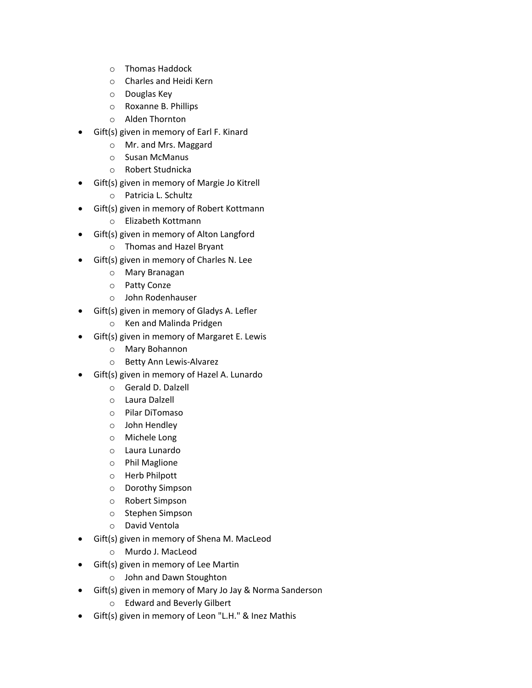- o Thomas Haddock
- o Charles and Heidi Kern
- o Douglas Key
- o Roxanne B. Phillips
- o Alden Thornton
- Gift(s) given in memory of Earl F. Kinard
	- o Mr. and Mrs. Maggard
	- o Susan McManus
	- o Robert Studnicka
- Gift(s) given in memory of Margie Jo Kitrell
	- o Patricia L. Schultz
- Gift(s) given in memory of Robert Kottmann
	- o Elizabeth Kottmann
- Gift(s) given in memory of Alton Langford
	- o Thomas and Hazel Bryant
- Gift(s) given in memory of Charles N. Lee
	- o Mary Branagan
	- o Patty Conze
	- o John Rodenhauser
- Gift(s) given in memory of Gladys A. Lefler
	- o Ken and Malinda Pridgen
- Gift(s) given in memory of Margaret E. Lewis
	- o Mary Bohannon
	- o Betty Ann Lewis-Alvarez
- Gift(s) given in memory of Hazel A. Lunardo
	- o Gerald D. Dalzell
	- o Laura Dalzell
	- o Pilar DiTomaso
	- o John Hendley
	- o Michele Long
	- o Laura Lunardo
	- o Phil Maglione
	- o Herb Philpott
	- o Dorothy Simpson
	- o Robert Simpson
	- o Stephen Simpson
	- o David Ventola
- Gift(s) given in memory of Shena M. MacLeod
	- o Murdo J. MacLeod
- Gift(s) given in memory of Lee Martin
	- o John and Dawn Stoughton
- Gift(s) given in memory of Mary Jo Jay & Norma Sanderson
	- o Edward and Beverly Gilbert
- Gift(s) given in memory of Leon "L.H." & Inez Mathis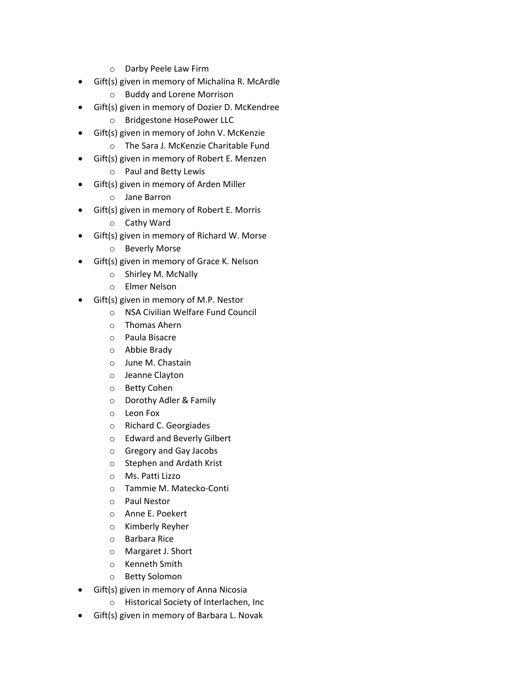- o Darby Peele Law Firm
- Gift(s) given in memory of Michalina R. McArdle
	- o Buddy and Lorene Morrison
- Gift(s) given in memory of Dozier D. McKendree
	- o Bridgestone HosePower LLC
- Gift(s) given in memory of John V. McKenzie
	- o The Sara J. McKenzie Charitable Fund
- Gift(s) given in memory of Robert E. Menzen
	- o Paul and Betty Lewis
- Gift(s) given in memory of Arden Miller
	- o Jane Barron
- Gift(s) given in memory of Robert E. Morris
	- o Cathy Ward
- Gift(s) given in memory of Richard W. Morse
	- o Beverly Morse
- Gift(s) given in memory of Grace K. Nelson
	- o Shirley M. McNally
	- o Elmer Nelson
- Gift(s) given in memory of M.P. Nestor
	- o NSA Civilian Welfare Fund Council
	- o Thomas Ahern
	- o Paula Bisacre
	- o Abbie Brady
	- o June M. Chastain
	- o Jeanne Clayton
	- o Betty Cohen
	- o Dorothy Adler & Family
	- o Leon Fox
	- o Richard C. Georgiades
	- o Edward and Beverly Gilbert
	- o Gregory and Gay Jacobs
	- o Stephen and Ardath Krist
	- o Ms. Patti Lizzo
	- o Tammie M. Matecko-Conti
	- o Paul Nestor
	- o Anne E. Poekert
	- o Kimberly Reyher
	- o Barbara Rice
	- o Margaret J. Short
	- o Kenneth Smith
	- o Betty Solomon
- Gift(s) given in memory of Anna Nicosia
	- o Historical Society of Interlachen, Inc
- Gift(s) given in memory of Barbara L. Novak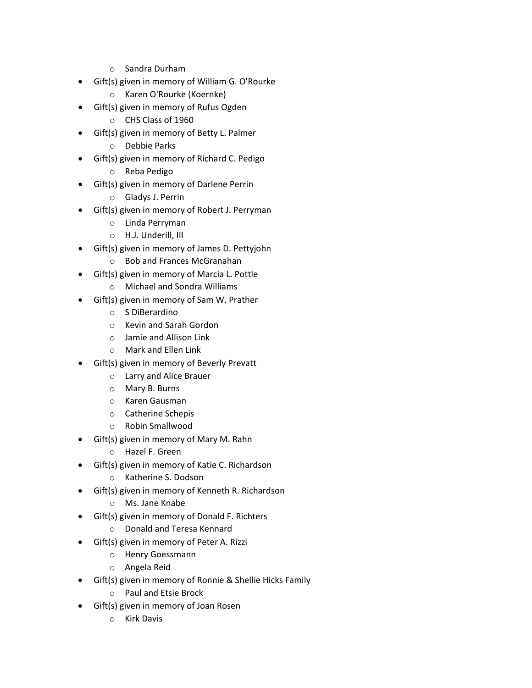- o Sandra Durham
- Gift(s) given in memory of William G. O'Rourke
	- o Karen O'Rourke (Koernke)
- Gift(s) given in memory of Rufus Ogden
	- o CHS Class of 1960
- Gift(s) given in memory of Betty L. Palmer
	- o Debbie Parks
- Gift(s) given in memory of Richard C. Pedigo
	- o Reba Pedigo
- Gift(s) given in memory of Darlene Perrin
	- o Gladys J. Perrin
- Gift(s) given in memory of Robert J. Perryman
	- o Linda Perryman
	- o H.J. Underill, III
- Gift(s) given in memory of James D. Pettyjohn
	- o Bob and Frances McGranahan
- Gift(s) given in memory of Marcia L. Pottle
	- o Michael and Sondra Williams
- Gift(s) given in memory of Sam W. Prather
	- o S DiBerardino
	- o Kevin and Sarah Gordon
	- o Jamie and Allison Link
	- o Mark and Ellen Link
- Gift(s) given in memory of Beverly Prevatt
	- o Larry and Alice Brauer
	- o Mary B. Burns
	- o Karen Gausman
	- o Catherine Schepis
	- o Robin Smallwood
- Gift(s) given in memory of Mary M. Rahn
	- o Hazel F. Green
- Gift(s) given in memory of Katie C. Richardson
	- o Katherine S. Dodson
- Gift(s) given in memory of Kenneth R. Richardson
	- o Ms. Jane Knabe
- Gift(s) given in memory of Donald F. Richters
	- o Donald and Teresa Kennard
- Gift(s) given in memory of Peter A. Rizzi
	- o Henry Goessmann
		- o Angela Reid
- Gift(s) given in memory of Ronnie & Shellie Hicks Family
	- o Paul and Etsie Brock
- Gift(s) given in memory of Joan Rosen
	- o Kirk Davis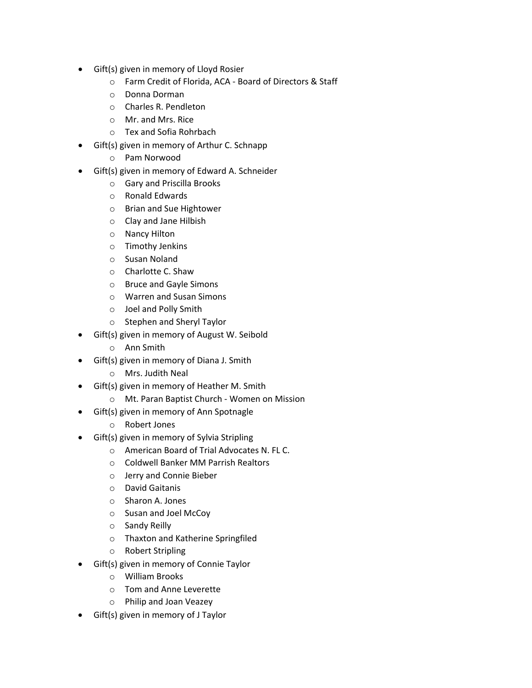- Gift(s) given in memory of Lloyd Rosier
	- o Farm Credit of Florida, ACA Board of Directors & Staff
	- o Donna Dorman
	- o Charles R. Pendleton
	- o Mr. and Mrs. Rice
	- o Tex and Sofia Rohrbach
- Gift(s) given in memory of Arthur C. Schnapp
	- o Pam Norwood
- Gift(s) given in memory of Edward A. Schneider
	- o Gary and Priscilla Brooks
	- o Ronald Edwards
	- o Brian and Sue Hightower
	- o Clay and Jane Hilbish
	- o Nancy Hilton
	- o Timothy Jenkins
	- o Susan Noland
	- o Charlotte C. Shaw
	- o Bruce and Gayle Simons
	- o Warren and Susan Simons
	- o Joel and Polly Smith
	- o Stephen and Sheryl Taylor
- Gift(s) given in memory of August W. Seibold
	- o Ann Smith
- Gift(s) given in memory of Diana J. Smith
	- o Mrs. Judith Neal
- Gift(s) given in memory of Heather M. Smith
	- o Mt. Paran Baptist Church Women on Mission
- Gift(s) given in memory of Ann Spotnagle
	- o Robert Jones
- Gift(s) given in memory of Sylvia Stripling
	- o American Board of Trial Advocates N. FL C.
	- o Coldwell Banker MM Parrish Realtors
	- o Jerry and Connie Bieber
	- o David Gaitanis
	- o Sharon A. Jones
	- o Susan and Joel McCoy
	- o Sandy Reilly
	- o Thaxton and Katherine Springfiled
	- o Robert Stripling
- Gift(s) given in memory of Connie Taylor
	- o William Brooks
	- o Tom and Anne Leverette
	- o Philip and Joan Veazey
- Gift(s) given in memory of J Taylor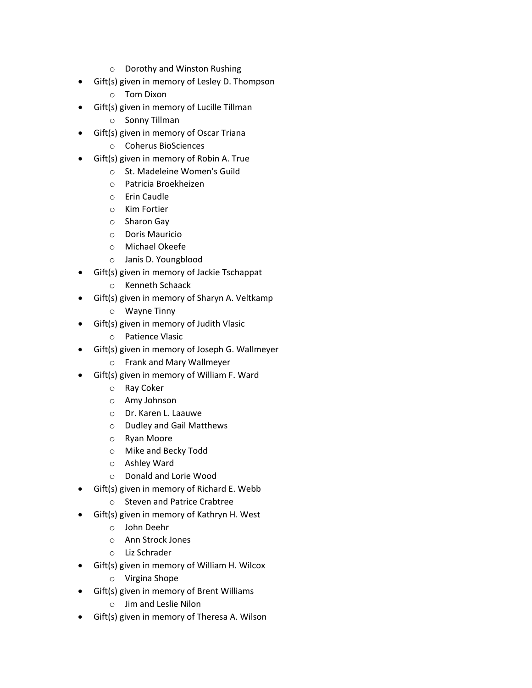- o Dorothy and Winston Rushing
- Gift(s) given in memory of Lesley D. Thompson
	- o Tom Dixon
- Gift(s) given in memory of Lucille Tillman
	- o Sonny Tillman
- Gift(s) given in memory of Oscar Triana
	- o Coherus BioSciences
- Gift(s) given in memory of Robin A. True
	- o St. Madeleine Women's Guild
	- o Patricia Broekheizen
	- o Erin Caudle
	- o Kim Fortier
	- o Sharon Gay
	- o Doris Mauricio
	- o Michael Okeefe
	- o Janis D. Youngblood
- Gift(s) given in memory of Jackie Tschappat
	- o Kenneth Schaack
- Gift(s) given in memory of Sharyn A. Veltkamp
	- o Wayne Tinny
- Gift(s) given in memory of Judith Vlasic
	- o Patience Vlasic
- Gift(s) given in memory of Joseph G. Wallmeyer
	- o Frank and Mary Wallmeyer
- Gift(s) given in memory of William F. Ward
	- o Ray Coker
	- o Amy Johnson
	- o Dr. Karen L. Laauwe
	- o Dudley and Gail Matthews
	- o Ryan Moore
	- o Mike and Becky Todd
	- o Ashley Ward
	- o Donald and Lorie Wood
- Gift(s) given in memory of Richard E. Webb
	- o Steven and Patrice Crabtree
- Gift(s) given in memory of Kathryn H. West
	- o John Deehr
	- o Ann Strock Jones
	- o Liz Schrader
- Gift(s) given in memory of William H. Wilcox
	- o Virgina Shope
- Gift(s) given in memory of Brent Williams
	- o Jim and Leslie Nilon
- Gift(s) given in memory of Theresa A. Wilson